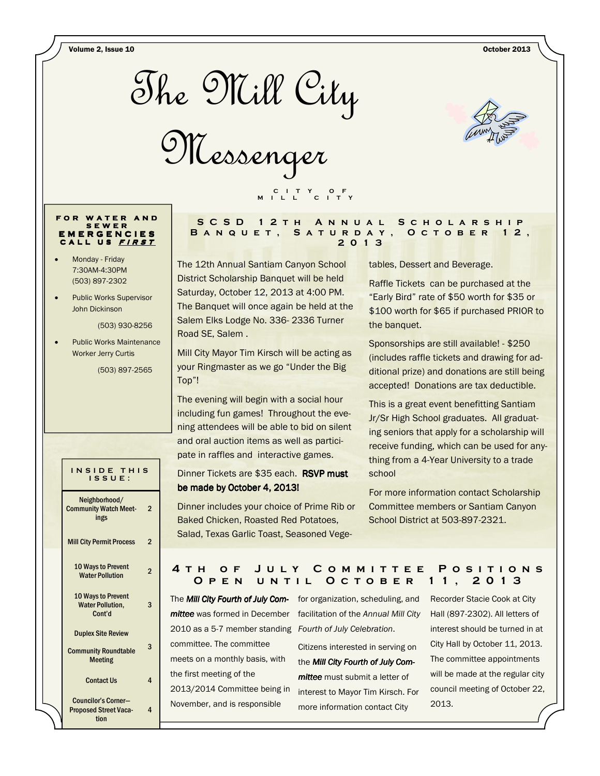Volume 2, Issue 10 October 2013



Messenger



#### FOR WATER AND S E W E R E M E R G E N C I E S CALL US FIRST

- Monday Friday 7:30AM-4:30PM (503) 897-2302
- Public Works Supervisor John Dickinson

(503) 930-8256

• Public Works Maintenance Worker Jerry Curtis

(503) 897-2565

## INSIDE THIS I S S U E :

| Neighborhood/<br><b>Community Watch Meet-</b><br>ings               | 2 |
|---------------------------------------------------------------------|---|
| <b>Mill City Permit Process</b>                                     | 2 |
| 10 Ways to Prevent<br><b>Water Pollution</b>                        | 2 |
| <b>10 Ways to Prevent</b><br><b>Water Pollution,</b><br>Cont'd      | 3 |
| <b>Duplex Site Review</b><br><b>Community Roundtable</b><br>Meeting | 3 |
| <b>Contact Us</b>                                                   | 4 |

Councilor's Corner— Proposed Street Vacation

4

### S C S D 1 2 T H A N N U A L S C H O L A R S H I P BANQUET, SATURDAY, OCTOBER 12, 2 0 1 3

The 12th Annual Santiam Canyon School District Scholarship Banquet will be held Saturday, October 12, 2013 at 4:00 PM. The Banquet will once again be held at the Salem Elks Lodge No. 336- 2336 Turner Road SE, Salem .

C I T Y O F M I L L C I T Y

Mill City Mayor Tim Kirsch will be acting as your Ringmaster as we go "Under the Big Top"!

The evening will begin with a social hour including fun games! Throughout the evening attendees will be able to bid on silent and oral auction items as well as participate in raffles and interactive games.

Dinner Tickets are \$35 each. RSVP must be made by October 4, 2013!

Dinner includes your choice of Prime Rib or Baked Chicken, Roasted Red Potatoes, Salad, Texas Garlic Toast, Seasoned Vegetables, Dessert and Beverage.

Raffle Tickets can be purchased at the "Early Bird" rate of \$50 worth for \$35 or \$100 worth for \$65 if purchased PRIOR to the banquet.

Sponsorships are still available! - \$250 (includes raffle tickets and drawing for additional prize) and donations are still being accepted! Donations are tax deductible.

This is a great event benefitting Santiam Jr/Sr High School graduates. All graduating seniors that apply for a scholarship will receive funding, which can be used for anything from a 4-Year University to a trade school

For more information contact Scholarship Committee members or Santiam Canyon School District at 503-897-2321.

## 4 T H O F J U L Y C O M M I T T E E P O S I T I O N S O P E N U N T I L O C T O B E R 11, 2013

The Mill City Fourth of July Com- for organization, scheduling, and mittee was formed in December facilitation of the Annual Mill City 2010 as a 5-7 member standing Fourth of July Celebration. committee. The committee meets on a monthly basis, with the first meeting of the 2013/2014 Committee being in November, and is responsible

Citizens interested in serving on the Mill City Fourth of July Committee must submit a letter of interest to Mayor Tim Kirsch. For more information contact City

Recorder Stacie Cook at City Hall (897-2302). All letters of interest should be turned in at City Hall by October 11, 2013. The committee appointments will be made at the regular city council meeting of October 22, 2013.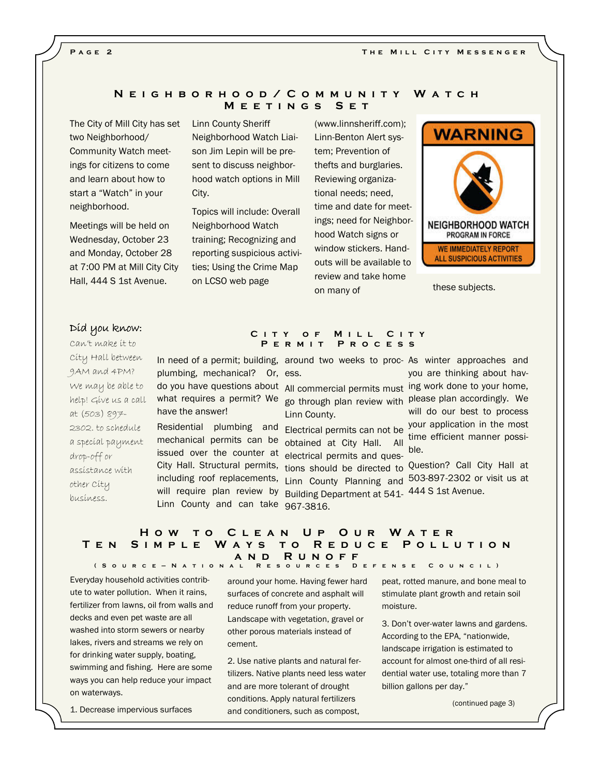#### PAGE<sub>2</sub>

## N E I G H B O R H O O D / C O M M U N I T Y W A T C H M E E T I N G S S E T

The City of Mill City has set two Neighborhood/ Community Watch meetings for citizens to come and learn about how to start a "Watch" in your neighborhood.

Meetings will be held on Wednesday, October 23 and Monday, October 28 at 7:00 PM at Mill City City Hall, 444 S 1st Avenue.

Linn County Sheriff Neighborhood Watch Liaison Jim Lepin will be present to discuss neighborhood watch options in Mill City.

Topics will include: Overall Neighborhood Watch training; Recognizing and reporting suspicious activities; Using the Crime Map on LCSO web page

(www.linnsheriff.com); Linn-Benton Alert system; Prevention of thefts and burglaries. Reviewing organizational needs; need, time and date for meetings; need for Neighborhood Watch signs or window stickers. Handouts will be available to review and take home on many of



these subjects.

## Díd you know:

Can't make it to City Hall between 9AM and 4PM? We may be able to help! Give us a call at (503) 897- 2302. to schedule a special payment drop-off or assistance with other City business.

In need of a permit; building, around two weeks to proc- As winter approaches and plumbing, mechanical? Or, ess. do you have questions about All commercial permits must ing work done to your home, what requires a permit? We <sub>go through plan review with Please plan accordingly. We</sub> have the answer!

mechanical permits can be <sub>obtained</sub> at City Hall. All issued over the counter at electrical permits and ques-City Hall. Structural permits, tions should be directed to Question? Call City Hall at including roof replacements, Linn County Planning and will require plan review by Building Department at 541- 444 S 1st Avenue. Linn County and can take 967-3816.

## CITY OF MILL CITY PERMIT PROCESS

Linn County.

Residential plumbing and Electrical permits can not be

you are thinking about havwill do our best to process your application in the most time efficient manner possible.

503-897-2302 or visit us at

### HOW TO CLEAN UP OUR WATER TEN SIMPLE WAYS TO REDUCE POLLUTION N D R U N O F F ( S o u r c e — N a t i o n a l R e s o u r c e s D e f e n s e C o u n c i l )

Everyday household activities contribute to water pollution. When it rains, fertilizer from lawns, oil from walls and decks and even pet waste are all washed into storm sewers or nearby lakes, rivers and streams we rely on for drinking water supply, boating, swimming and fishing. Here are some ways you can help reduce your impact on waterways.

1. Decrease impervious surfaces

around your home. Having fewer hard surfaces of concrete and asphalt will reduce runoff from your property. Landscape with vegetation, gravel or other porous materials instead of cement.

2. Use native plants and natural fertilizers. Native plants need less water and are more tolerant of drought conditions. Apply natural fertilizers and conditioners, such as compost,

peat, rotted manure, and bone meal to stimulate plant growth and retain soil moisture.

3. Don't over-water lawns and gardens. According to the EPA, "nationwide, landscape irrigation is estimated to account for almost one-third of all residential water use, totaling more than 7 billion gallons per day."

(continued page 3)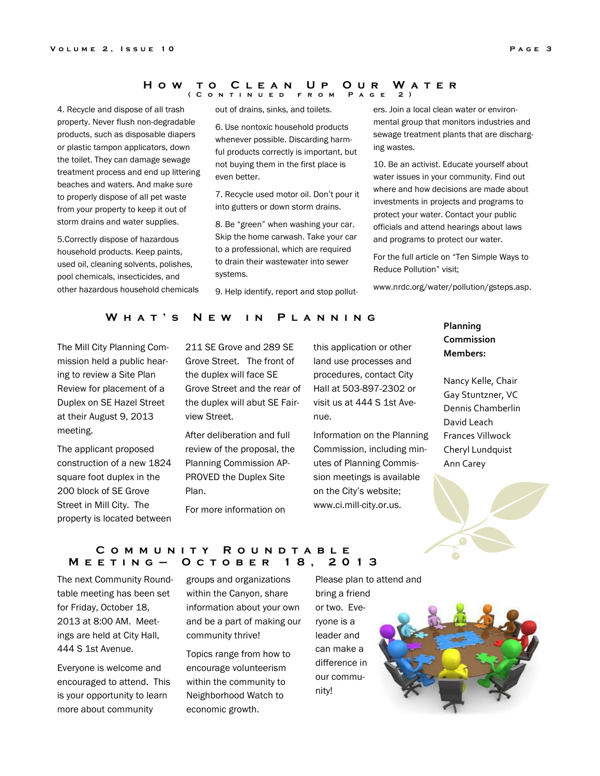#### HOW TO CLEAN UP OUR WATER ( C o n t i n u e d f r o m P a g e 2 )

4. Recycle and dispose of all trash property. Never flush non-degradable products, such as disposable diapers or plastic tampon applicators, down the toilet. They can damage sewage treatment process and end up littering beaches and waters. And make sure to properly dispose of all pet waste from your property to keep it out of storm drains and water supplies.

5.Correctly dispose of hazardous household products. Keep paints, used oil, cleaning solvents, polishes, pool chemicals, insecticides, and other hazardous household chemicals out of drains, sinks, and toilets.

6. Use nontoxic household products whenever possible. Discarding harmful products correctly is important, but not buying them in the first place is even better.

7. Recycle used motor oil. Don't pour it into gutters or down storm drains.

8. Be "green" when washing your car. Skip the home carwash. Take your car to a professional, which are required to drain their wastewater into sewer systems.

9. Help identify, report and stop pollut-

ers. Join a local clean water or environmental group that monitors industries and sewage treatment plants that are discharging wastes.

10. Be an activist. Educate yourself about water issues in your community. Find out where and how decisions are made about investments in projects and programs to protect your water. Contact your public officials and attend hearings about laws and programs to protect our water.

For the full article on "Ten Simple Ways to Reduce Pollution" visit;

www.nrdc.org/water/pollution/gsteps.asp.

## WHAT'S NEW IN PLANNING

The Mill City Planning Commission held a public hearing to review a Site Plan Review for placement of a Duplex on SE Hazel Street at their August 9, 2013 meeting.

The applicant proposed construction of a new 1824 square foot duplex in the 200 block of SE Grove Street in Mill City. The property is located between

211 SE Grove and 289 SE Grove Street. The front of the duplex will face SE Grove Street and the rear of the duplex will abut SE Fairview Street.

After deliberation and full review of the proposal, the Planning Commission AP-PROVED the Duplex Site Plan.

For more information on

this application or other land use processes and procedures, contact City Hall at 503-897-2302 or visit us at 444 S 1st Avenue.

Information on the Planning Commission, including minutes of Planning Commission meetings is available on the City's website; www.ci.mill-city.or.us.

# Planning Commission Members:

Nancy Kelle, Chair Gay Stuntzner, VC Dennis Chamberlin David Leach Frances Villwock Cheryl Lundquist Ann Carey



### COMMUNITY ROUNDTABLE M E E T I N G - O C T O B E R 18, 2013

The next Community Roundtable meeting has been set for Friday, October 18, 2013 at 8:00 AM. Meetings are held at City Hall, 444 S 1st Avenue.

Everyone is welcome and encouraged to attend. This is your opportunity to learn more about community

groups and organizations within the Canyon, share information about your own and be a part of making our community thrive!

Topics range from how to encourage volunteerism within the community to Neighborhood Watch to economic growth.

Please plan to attend and bring a friend or two. Everyone is a leader and can make a difference in our community!